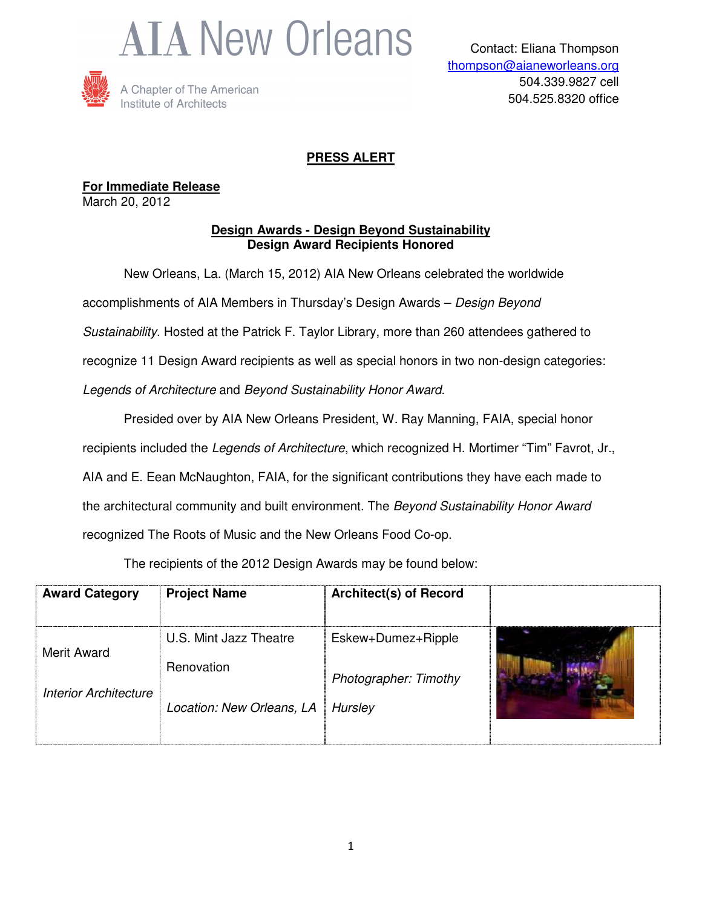



### **PRESS ALERT**

**For Immediate Release** March 20, 2012

#### **Design Awards - Design Beyond Sustainability Design Award Recipients Honored**

New Orleans, La. (March 15, 2012) AIA New Orleans celebrated the worldwide accomplishments of AIA Members in Thursday's Design Awards – Design Beyond Sustainability. Hosted at the Patrick F. Taylor Library, more than 260 attendees gathered to recognize 11 Design Award recipients as well as special honors in two non-design categories: Legends of Architecture and Beyond Sustainability Honor Award.

Presided over by AIA New Orleans President, W. Ray Manning, FAIA, special honor recipients included the Legends of Architecture, which recognized H. Mortimer "Tim" Favrot, Jr., AIA and E. Eean McNaughton, FAIA, for the significant contributions they have each made to the architectural community and built environment. The Beyond Sustainability Honor Award recognized The Roots of Music and the New Orleans Food Co-op.

The recipients of the 2012 Design Awards may be found below:

| <b>Award Category</b>        | <b>Project Name</b>       | <b>Architect(s) of Record</b> |  |
|------------------------------|---------------------------|-------------------------------|--|
| <b>Merit Award</b>           | U.S. Mint Jazz Theatre    | Eskew+Dumez+Ripple            |  |
|                              | Renovation                | Photographer: Timothy         |  |
| <b>Interior Architecture</b> | Location: New Orleans, LA | Hursley                       |  |
|                              |                           |                               |  |

1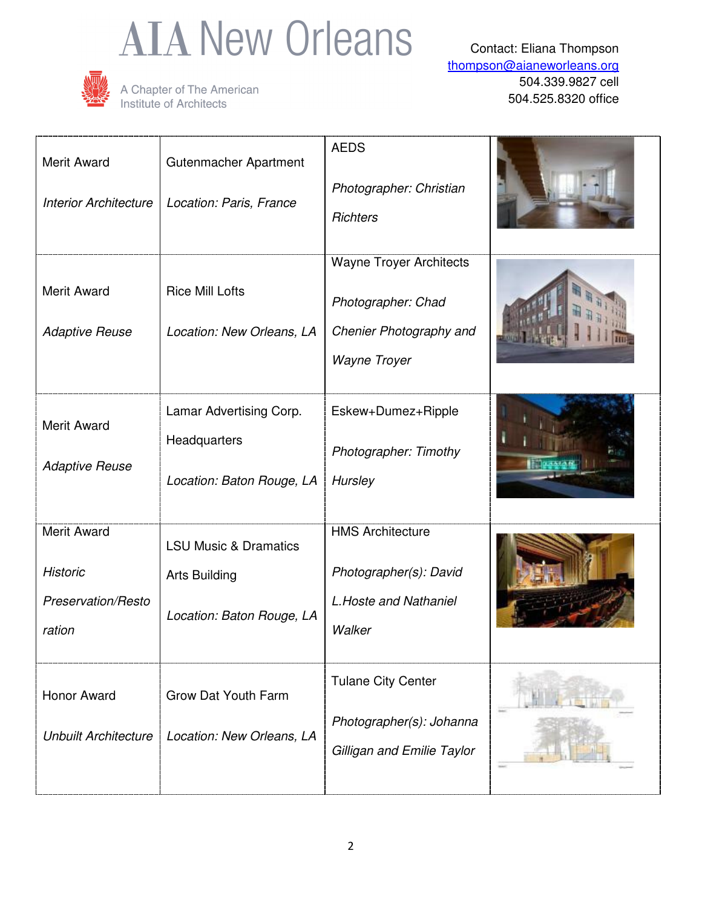# **AIA New Orleans**



A Chapter of The American<br>Institute of Architects

Contact: Eliana Thompson thompson@aianeworleans.org 504.339.9827 cell 504.525.8320 office

| Merit Award<br><b>Interior Architecture</b>                           | Gutenmacher Apartment<br>Location: Paris, France                                      | <b>AEDS</b><br>Photographer: Christian<br><b>Richters</b>                                       |  |
|-----------------------------------------------------------------------|---------------------------------------------------------------------------------------|-------------------------------------------------------------------------------------------------|--|
| <b>Merit Award</b><br><b>Adaptive Reuse</b>                           | <b>Rice Mill Lofts</b><br>Location: New Orleans, LA                                   | <b>Wayne Troyer Architects</b><br>Photographer: Chad<br>Chenier Photography and<br>Wayne Troyer |  |
| <b>Merit Award</b><br><b>Adaptive Reuse</b>                           | Lamar Advertising Corp.<br>Headquarters<br>Location: Baton Rouge, LA                  | Eskew+Dumez+Ripple<br>Photographer: Timothy<br>Hursley                                          |  |
| <b>Merit Award</b><br><b>Historic</b><br>Preservation/Resto<br>ration | <b>LSU Music &amp; Dramatics</b><br><b>Arts Building</b><br>Location: Baton Rouge, LA | <b>HMS Architecture</b><br>Photographer(s): David<br>L. Hoste and Nathaniel<br>Walker           |  |
| Honor Award<br><b>Unbuilt Architecture</b>                            | <b>Grow Dat Youth Farm</b><br>Location: New Orleans, LA                               | <b>Tulane City Center</b><br>Photographer(s): Johanna<br>Gilligan and Emilie Taylor             |  |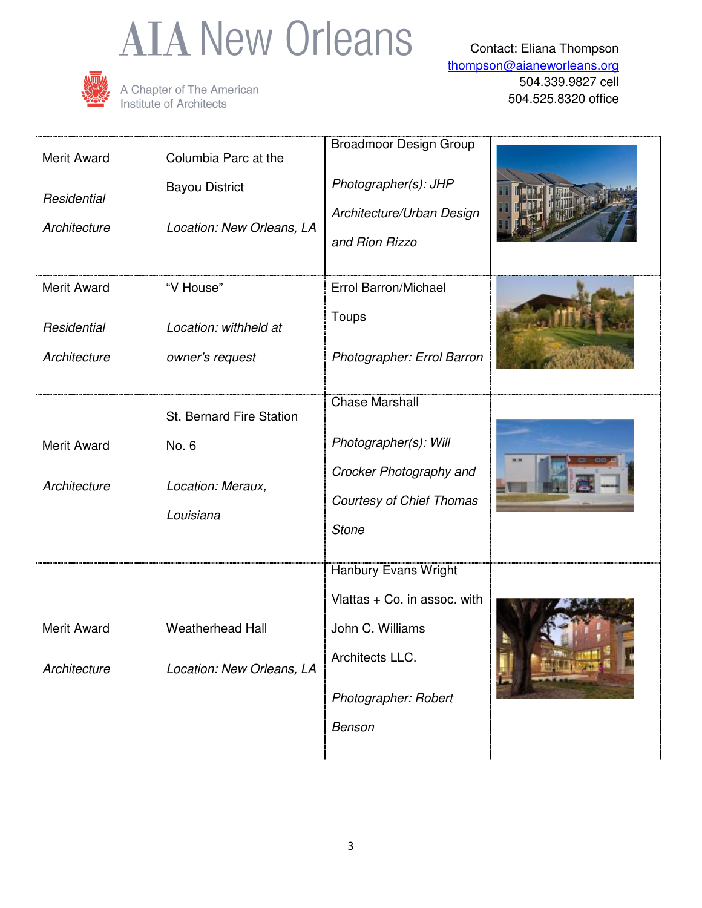# **AIA New Orleans**



A Chapter of The American<br>Institute of Architects

Contact: Eliana Thompson thompson@aianeworleans.org 504.339.9827 cell 504.525.8320 office

| <b>Merit Award</b><br>Residential<br>Architecture | Columbia Parc at the<br><b>Bayou District</b><br>Location: New Orleans, LA | <b>Broadmoor Design Group</b><br>Photographer(s): JHP<br>Architecture/Urban Design<br>and Rion Rizzo                          |  |
|---------------------------------------------------|----------------------------------------------------------------------------|-------------------------------------------------------------------------------------------------------------------------------|--|
| <b>Merit Award</b><br>Residential<br>Architecture | "V House"<br>Location: withheld at<br>owner's request                      | Errol Barron/Michael<br>Toups<br>Photographer: Errol Barron                                                                   |  |
| <b>Merit Award</b><br>Architecture                | St. Bernard Fire Station<br>No. 6<br>Location: Meraux,<br>Louisiana        | <b>Chase Marshall</b><br>Photographer(s): Will<br>Crocker Photography and<br><b>Courtesy of Chief Thomas</b><br><b>Stone</b>  |  |
| <b>Merit Award</b><br>Architecture                | <b>Weatherhead Hall</b><br>Location: New Orleans, LA                       | Hanbury Evans Wright<br>Vlattas + Co. in assoc. with<br>John C. Williams<br>Architects LLC.<br>Photographer: Robert<br>Benson |  |